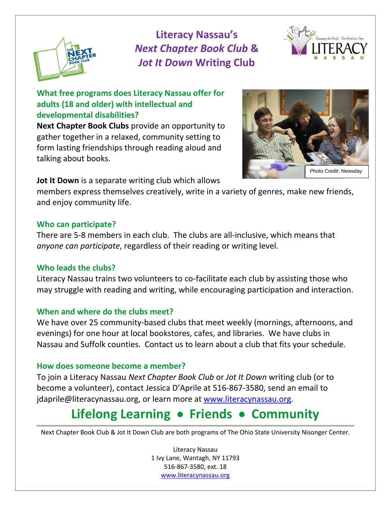

**Literacy Nassau's**  *Next Chapter Book Club* **&**  *Jot It Down* **Writing Club** 



**What free programs does Literacy Nassau offer for adults (18 and older) with intellectual and developmental disabilities?** 

**Next Chapter Book Clubs** provide an opportunity to gather together in a relaxed, community setting to form lasting friendships through reading aloud and talking about books.



**Jot It Down** is a separate writing club which allows

members express themselves creatively, write in a variety of genres, make new friends, and enjoy community life.

### **Who can participate?**

There are 5-8 members in each club. The clubs are all-inclusive, which means that *anyone can participate*, regardless of their reading or writing level.

### **Who leads the clubs?**

Literacy Nassau trains two volunteers to co-facilitate each club by assisting those who may struggle with reading and writing, while encouraging participation and interaction.

### **When and where do the clubs meet?**

We have over 25 community-based clubs that meet weekly (mornings, afternoons, and evenings) for one hour at local bookstores, cafes, and libraries. We have clubs in Nassau and Suffolk counties. Contact us to learn about a club that fits your schedule.

### **How does someone become a member?**

To join a Literacy Nassau *Next Chapter Book Club* or *Jot It Down* writing club (or to become a volunteer), contact Jessica D'Aprile at 516-867-3580, send an email to jdaprile@literacynassau.org, or learn more at [www.literacynassau.org.](http://www.literacynassau.org/)

# **Lifelong Learning** • **Friends** • **Community**

Next Chapter Book Club & Jot It Down Club are both programs of The Ohio State University Nisonger Center.

Literacy Nassau 1 Ivy Lane, Wantagh, NY 11793 516-867-3580, ext. 18 [www.literacynassau.org](http://www.literacynassau.org/)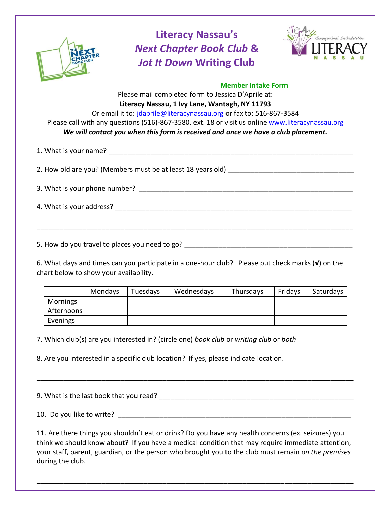

## **Literacy Nassau's**  *Next Chapter Book Club* **&**  *Jot It Down* **Writing Club**



### **Member Intake Form**  Please mail completed form to Jessica D'Aprile at: **Literacy Nassau, 1 Ivy Lane, Wantagh, NY 11793** Or email it to: [jdaprile@literacynassau.org](mailto:jdaprile@literacynassau.org) or fax to: 516-867-3584 Please call with any questions (516)-867-3580, ext. 18 or visit us online [www.literacynassau.org](http://www.literacynassau.org/) *We will contact you when this form is received and once we have a club placement.* 1. What is your name? The same of the same of the same of the same of the same of the same of the same of the same of the same of the same of the same of the same of the same of the same of the same of the same of the same 2. How old are you? (Members must be at least 18 years old)

3. What is your phone number? \_\_\_\_\_\_\_\_\_\_\_\_\_\_\_\_\_\_\_\_\_\_\_\_\_\_\_\_\_\_\_\_\_\_\_\_\_\_\_\_\_\_\_\_\_\_\_\_\_\_\_\_\_\_\_\_

4. What is your address?  $\blacksquare$ 

5. How do you travel to places you need to go? \_\_\_\_\_\_\_\_\_\_\_\_\_\_\_\_\_\_\_\_\_\_\_\_\_\_\_\_\_\_\_\_\_\_\_\_\_\_\_\_\_\_\_\_

6. What days and times can you participate in a one-hour club? Please put check marks (**√**) on the chart below to show your availability.

\_\_\_\_\_\_\_\_\_\_\_\_\_\_\_\_\_\_\_\_\_\_\_\_\_\_\_\_\_\_\_\_\_\_\_\_\_\_\_\_\_\_\_\_\_\_\_\_\_\_\_\_\_\_\_\_\_\_\_\_\_\_\_\_\_\_\_\_\_\_\_\_\_\_\_\_\_\_\_\_\_\_\_

|            | Mondays | Tuesdays | Wednesdays | Thursdays | Fridays | Saturdays |
|------------|---------|----------|------------|-----------|---------|-----------|
| Mornings   |         |          |            |           |         |           |
| Afternoons |         |          |            |           |         |           |
| Evenings   |         |          |            |           |         |           |

7. Which club(s) are you interested in? (circle one) *book club* or *writing club* or *both*

8. Are you interested in a specific club location? If yes, please indicate location.

9. What is the last book that you read? \_\_\_\_\_\_\_\_\_\_\_\_\_\_\_\_\_\_\_\_\_\_\_\_\_\_\_\_\_\_\_\_\_\_\_\_\_\_\_\_\_\_\_\_\_\_\_\_\_\_\_ 10. Do you like to write?

\_\_\_\_\_\_\_\_\_\_\_\_\_\_\_\_\_\_\_\_\_\_\_\_\_\_\_\_\_\_\_\_\_\_\_\_\_\_\_\_\_\_\_\_\_\_\_\_\_\_\_\_\_\_\_\_\_\_\_\_\_\_\_\_\_\_\_\_\_\_\_\_\_\_\_\_\_\_\_\_\_\_\_

11. Are there things you shouldn't eat or drink? Do you have any health concerns (ex. seizures) you think we should know about? If you have a medical condition that may require immediate attention, your staff, parent, guardian, or the person who brought you to the club must remain *on the premises* during the club.

\_\_\_\_\_\_\_\_\_\_\_\_\_\_\_\_\_\_\_\_\_\_\_\_\_\_\_\_\_\_\_\_\_\_\_\_\_\_\_\_\_\_\_\_\_\_\_\_\_\_\_\_\_\_\_\_\_\_\_\_\_\_\_\_\_\_\_\_\_\_\_\_\_\_\_\_\_\_\_\_\_\_\_